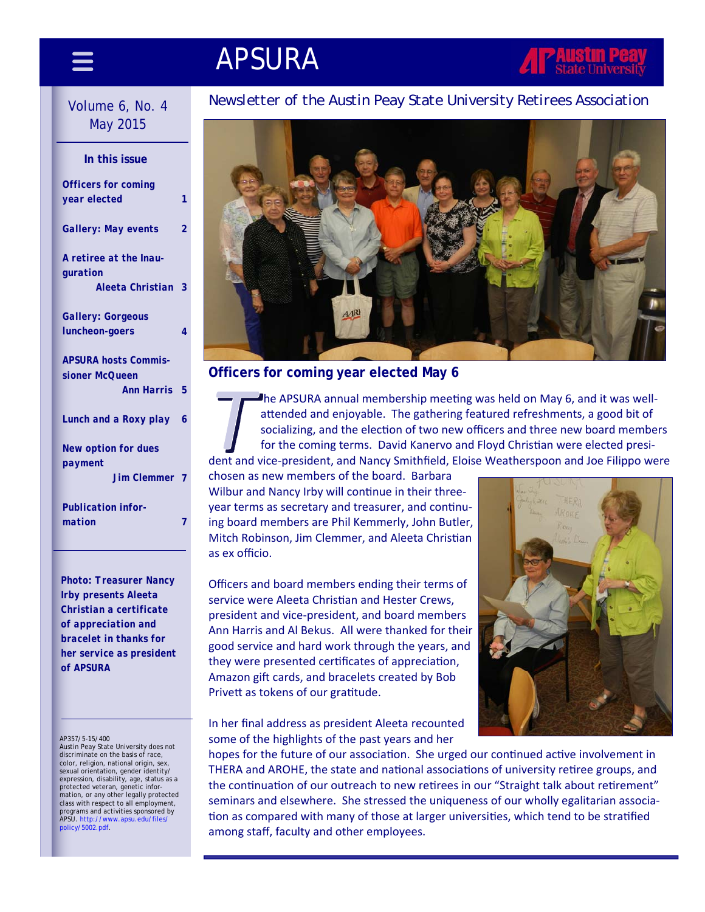# APSURA

# May 2015

| In this issue                 |   |
|-------------------------------|---|
| <b>Officers for coming</b>    |   |
| year elected                  | 1 |
| Gallery: May events           | 2 |
| A retiree at the Inau-        |   |
| quration                      |   |
| Aleeta Christian              | 3 |
| Gallery: Gorgeous             |   |
| luncheon-goers                | 4 |
| <b>APSURA hosts Commis-</b>   |   |
| sioner McQueen                |   |
| <b>Ann Harris</b>             | 5 |
| Lunch and a Roxy play         | 6 |
| <b>New option for dues</b>    |   |
| payment<br><b>Jim Clemmer</b> |   |
| <b>Publication infor-</b>     |   |
| mation                        |   |
|                               |   |

*Photo: Treasurer Nancy Irby presents Aleeta Christian a certificate of appreciation and bracelet in thanks for her service as president of APSURA* 

### AP357/5-15/400

Austin Peay State University does not discriminate on the basis of race, color, religion, national origin, sex, sexual orientation, gender identity/ expression, disability, age, status as a protected veteran, genetic information, or any other legally protected class with respect to all employment, programs and activities sponsored by<br>APSU. http://www.apsu.edu/files/ policy/5002.pdf.

### Volume 6, No. 4 **Newsletter of the Austin Peay State University Retirees Association**



### **Officers for coming year elected May 6**

he APSURA annual membership meeting was held on May 6, and it was wellattended and enjoyable. The gathering featured refreshments, a good bit of socializing, and the election of two new officers and three new board members for the coming terms. David Kanervo and Floyd Christian were elected president and vice‐president, and Nancy Smithfield, Eloise Weatherspoon and Joe Filippo were

chosen as new members of the board. Barbara Wilbur and Nancy Irby will continue in their threeyear terms as secretary and treasurer, and continuing board members are Phil Kemmerly, John Butler, Mitch Robinson, Jim Clemmer, and Aleeta Christian as ex officio.

Officers and board members ending their terms of service were Aleeta Christian and Hester Crews, president and vice‐president, and board members Ann Harris and Al Bekus. All were thanked for their good service and hard work through the years, and they were presented certificates of appreciation, Amazon gift cards, and bracelets created by Bob Privett as tokens of our gratitude.

In her final address as president Aleeta recounted some of the highlights of the past years and her



hopes for the future of our association. She urged our continued active involvement in THERA and AROHE, the state and national associations of university retiree groups, and the continuation of our outreach to new retirees in our "Straight talk about retirement" seminars and elsewhere. She stressed the uniqueness of our wholly egalitarian association as compared with many of those at larger universities, which tend to be stratified among staff, faculty and other employees.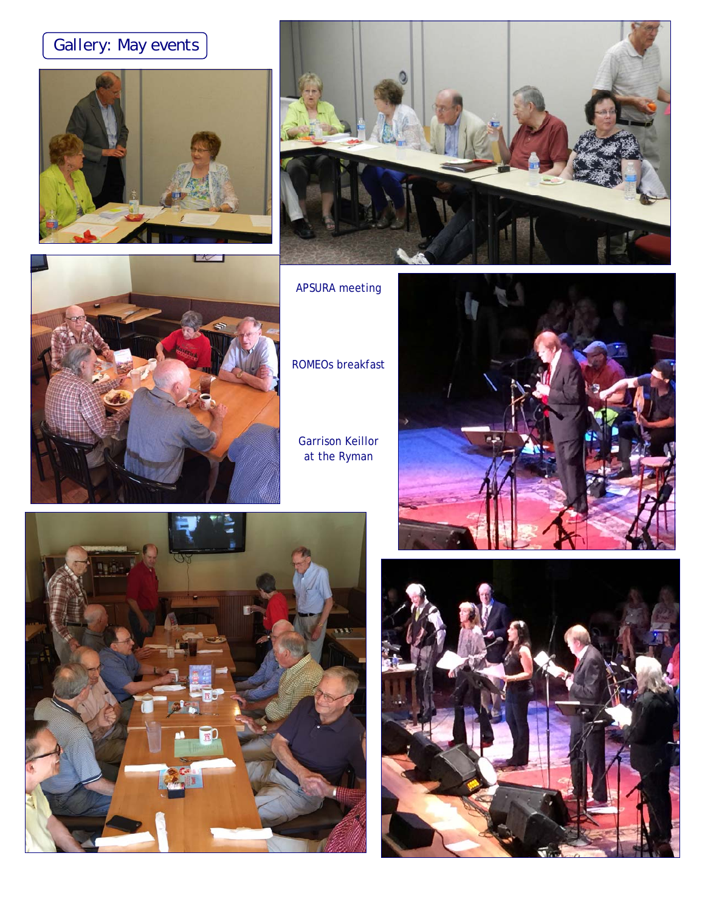# *Gallery: May events*







APSURA meeting

ROMEOs breakfast

Garrison Keillor at the Ryman





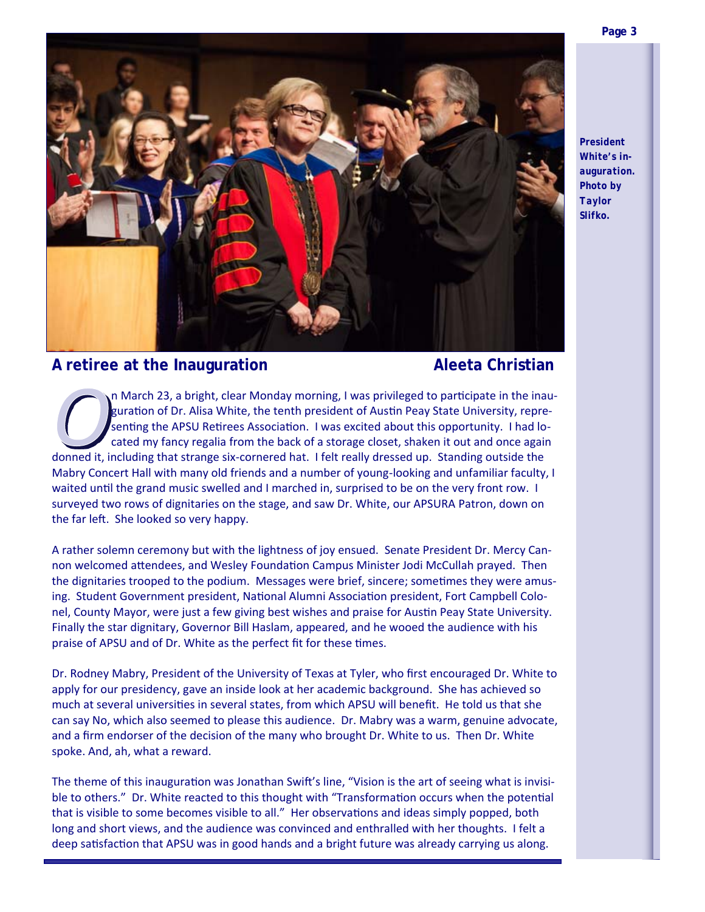

*President White's inauguration. Photo by Taylor Slifko.* 



### A retiree at the Inauguration **Aleeta Christian**

n March 23, a bright, clear Monday morning, I was privileged to participate in the inauguration of Dr. Alisa White, the tenth president of Austin Peay State University, representing the APSU Retirees Association. I was excited about this opportunity. I had located my fancy regalia from the back of a storage closet, shaken it out and once again donned it, including that strange six‐cornered hat. I felt really dressed up. Standing outside the Mabry Concert Hall with many old friends and a number of young-looking and unfamiliar faculty, I waited until the grand music swelled and I marched in, surprised to be on the very front row. I surveyed two rows of dignitaries on the stage, and saw Dr. White, our APSURA Patron, down on the far left. She looked so very happy.

A rather solemn ceremony but with the lightness of joy ensued. Senate President Dr. Mercy Can‐ non welcomed attendees, and Wesley Foundation Campus Minister Jodi McCullah prayed. Then the dignitaries trooped to the podium. Messages were brief, sincere; sometimes they were amusing. Student Government president, National Alumni Association president, Fort Campbell Colonel, County Mayor, were just a few giving best wishes and praise for Austin Peay State University. Finally the star dignitary, Governor Bill Haslam, appeared, and he wooed the audience with his praise of APSU and of Dr. White as the perfect fit for these times.

Dr. Rodney Mabry, President of the University of Texas at Tyler, who first encouraged Dr. White to apply for our presidency, gave an inside look at her academic background. She has achieved so much at several universities in several states, from which APSU will benefit. He told us that she can say No, which also seemed to please this audience. Dr. Mabry was a warm, genuine advocate, and a firm endorser of the decision of the many who brought Dr. White to us. Then Dr. White spoke. And, ah, what a reward.

The theme of this inauguration was Jonathan Swift's line, "Vision is the art of seeing what is invisible to others." Dr. White reacted to this thought with "Transformation occurs when the potential that is visible to some becomes visible to all." Her observations and ideas simply popped, both long and short views, and the audience was convinced and enthralled with her thoughts. I felt a deep satisfaction that APSU was in good hands and a bright future was already carrying us along.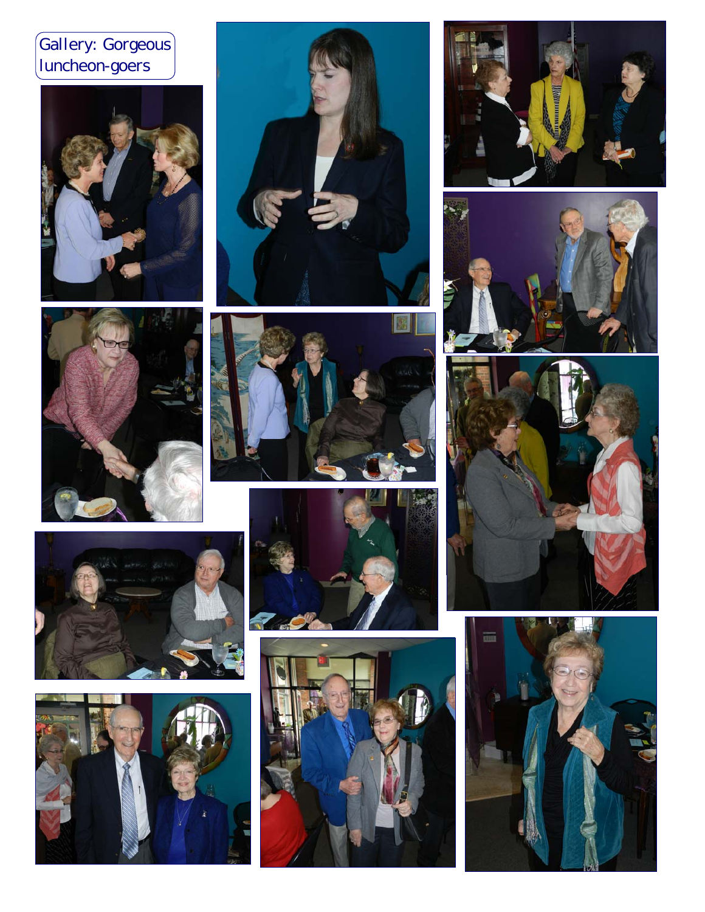## *Gallery: Gorgeous luncheon-goers*























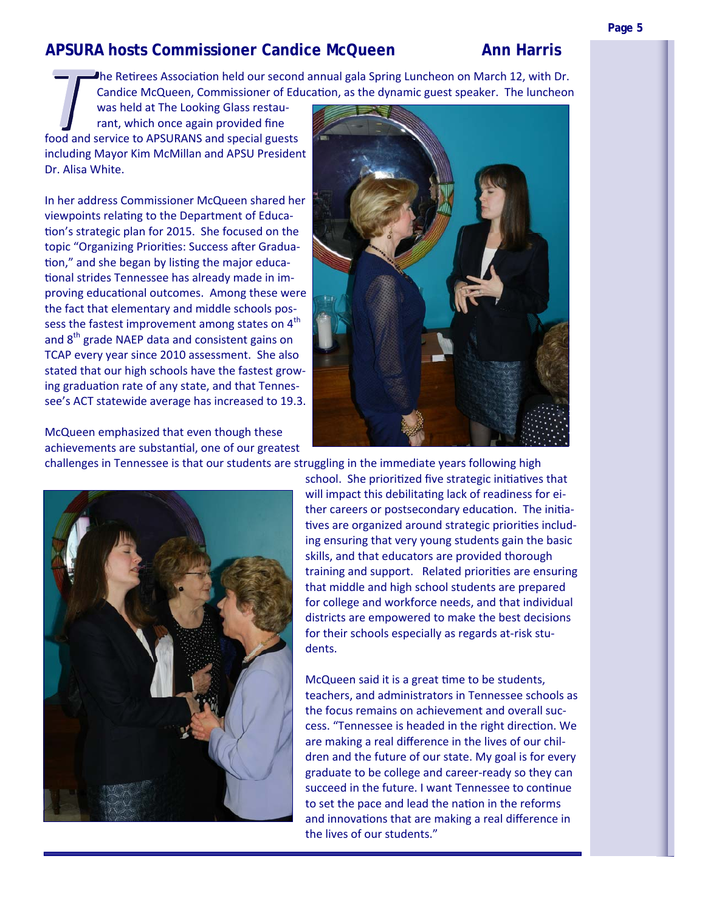### **APSURA hosts Commissioner Candice McQueen Ann Harris**

**h**e Retirees Association held our second annual gala Spring Luncheon on March 12, with Dr. Candice McQueen, Commissioner of Education, as the dynamic guest speaker. The luncheon

was held at The Looking Glass restaurant, which once again provided fine food and service to APSURANS and special guests including Mayor Kim McMillan and APSU President Dr. Alisa White.

In her address Commissioner McQueen shared her viewpoints relating to the Department of Education's strategic plan for 2015. She focused on the topic "Organizing Priorities: Success after Graduation," and she began by listing the major educational strides Tennessee has already made in improving educational outcomes. Among these were the fact that elementary and middle schools pos‐ sess the fastest improvement among states on  $4<sup>th</sup>$ and 8<sup>th</sup> grade NAEP data and consistent gains on TCAP every year since 2010 assessment. She also stated that our high schools have the fastest grow‐ ing graduation rate of any state, and that Tennessee's ACT statewide average has increased to 19.3.

McQueen emphasized that even though these achievements are substantial, one of our greatest



challenges in Tennessee is that our students are struggling in the immediate years following high



school. She prioritized five strategic initiatives that will impact this debilitating lack of readiness for either careers or postsecondary education. The initiatives are organized around strategic priorities including ensuring that very young students gain the basic skills, and that educators are provided thorough training and support. Related priorities are ensuring that middle and high school students are prepared for college and workforce needs, and that individual districts are empowered to make the best decisions for their schools especially as regards at‐risk stu‐ dents.

McQueen said it is a great time to be students, teachers, and administrators in Tennessee schools as the focus remains on achievement and overall suc‐ cess. "Tennessee is headed in the right direction. We are making a real difference in the lives of our chil‐ dren and the future of our state. My goal is for every graduate to be college and career‐ready so they can succeed in the future. I want Tennessee to continue to set the pace and lead the nation in the reforms and innovations that are making a real difference in the lives of our students."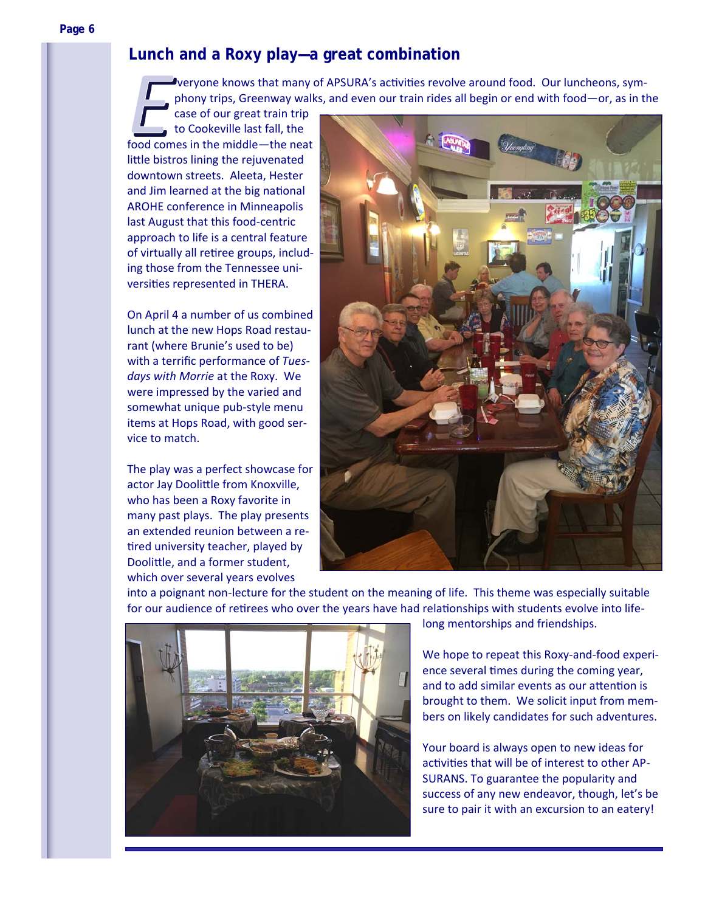veryone knows that many of APSURA's activities revolve around food. Our luncheons, symphony trips, Greenway walks, and even our train rides all begin or end with food—or, as in the

case of our great train trip to Cookeville last fall, the food comes in the middle—the neat little bistros lining the rejuvenated downtown streets. Aleeta, Hester and Jim learned at the big national AROHE conference in Minneapolis last August that this food‐centric approach to life is a central feature of virtually all retiree groups, including those from the Tennessee uni‐ versities represented in THERA.

On April 4 a number of us combined lunch at the new Hops Road restau‐ rant (where Brunie's used to be) with a terrific performance of *Tuesdays with Morrie* at the Roxy. We were impressed by the varied and somewhat unique pub‐style menu items at Hops Road, with good ser‐ vice to match.

The play was a perfect showcase for actor Jay Doolittle from Knoxville, who has been a Roxy favorite in many past plays. The play presents an extended reunion between a re‐ tired university teacher, played by Doolittle, and a former student, which over several years evolves



into a poignant non‐lecture for the student on the meaning of life. This theme was especially suitable for our audience of retirees who over the years have had relationships with students evolve into life-



long mentorships and friendships.

We hope to repeat this Roxy-and-food experience several times during the coming year, and to add similar events as our attention is brought to them. We solicit input from mem‐ bers on likely candidates for such adventures.

Your board is always open to new ideas for activities that will be of interest to other AP-SURANS. To guarantee the popularity and success of any new endeavor, though, let's be sure to pair it with an excursion to an eatery!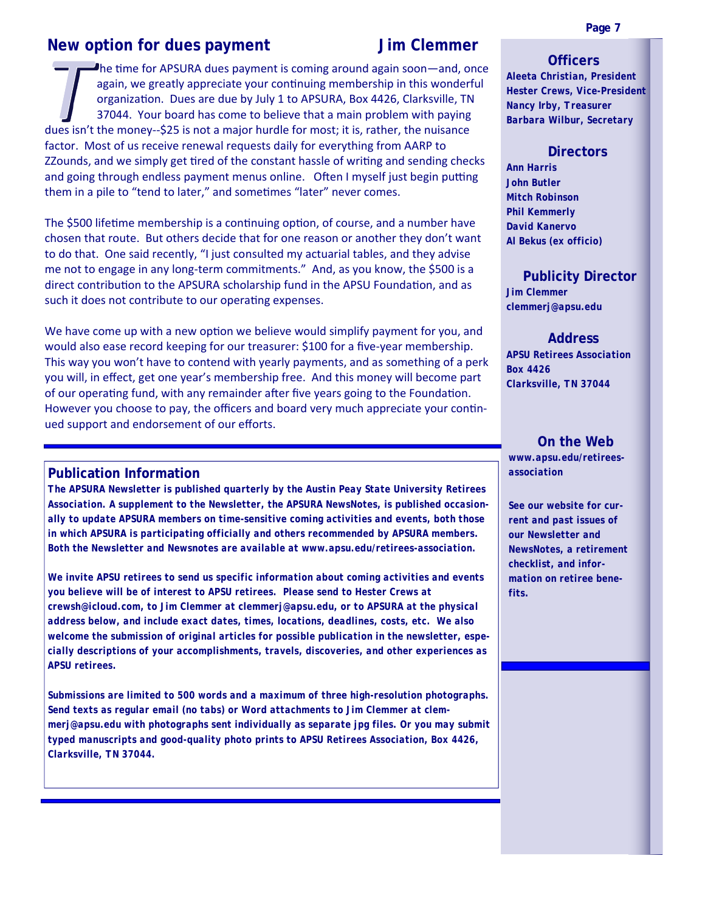### **New option for dues payment Mew option for dues payment demonstrated UI SIM Clemmer**

The time for APSURA dues payment is coming around again soon—and, once again, we greatly appreciate your continuing membership in this wonderful organization. Dues are due by July 1 to APSURA, Box 4426, Clarksville, TN 37044. Your board has come to believe that a main problem with paying dues isn't the money‐‐\$25 is not a major hurdle for most; it is, rather, the nuisance factor. Most of us receive renewal requests daily for everything from AARP to ZZounds, and we simply get tired of the constant hassle of writing and sending checks and going through endless payment menus online. Often I myself just begin putting them in a pile to "tend to later," and sometimes "later" never comes.

The \$500 lifetime membership is a continuing option, of course, and a number have chosen that route. But others decide that for one reason or another they don't want to do that. One said recently, "I just consulted my actuarial tables, and they advise me not to engage in any long‐term commitments." And, as you know, the \$500 is a direct contribution to the APSURA scholarship fund in the APSU Foundation, and as such it does not contribute to our operating expenses.

We have come up with a new option we believe would simplify payment for you, and would also ease record keeping for our treasurer: \$100 for a five-year membership. This way you won't have to contend with yearly payments, and as something of a perk you will, in effect, get one year's membership free. And this money will become part of our operating fund, with any remainder after five years going to the Foundation. However you choose to pay, the officers and board very much appreciate your continued support and endorsement of our efforts.

### **Publication Information**

*The APSURA Newsletter is published quarterly by the Austin Peay State University Retirees Association. A supplement to the Newsletter, the APSURA NewsNotes, is published occasionally to update APSURA members on time-sensitive coming activities and events, both those in which APSURA is participating officially and others recommended by APSURA members. Both the Newsletter and Newsnotes are available at www.apsu.edu/retirees-association.* 

*We invite APSU retirees to send us specific information about coming activities and events you believe will be of interest to APSU retirees. Please send to Hester Crews at crewsh@icloud.com, to Jim Clemmer at clemmerj@apsu.edu, or to APSURA at the physical address below, and include exact dates, times, locations, deadlines, costs, etc. We also welcome the submission of original articles for possible publication in the newsletter, especially descriptions of your accomplishments, travels, discoveries, and other experiences as APSU retirees.* 

*Submissions are limited to 500 words and a maximum of three high-resolution photographs. Send texts as regular email (no tabs) or Word attachments to Jim Clemmer at clemmerj@apsu.edu with photographs sent individually as separate jpg files. Or you may submit typed manuscripts and good-quality photo prints to APSU Retirees Association, Box 4426, Clarksville, TN 37044.* 

### **Officers**

*Aleeta Christian, President Hester Crews, Vice-President Nancy Irby, Treasurer Barbara Wilbur, Secretary* 

### **Directors**

*Ann Harris John Butler Mitch Robinson Phil Kemmerly David Kanervo Al Bekus (ex officio)* 

### **Publicity Director**

*Jim Clemmer clemmerj@apsu.edu* 

### **Address**

*APSU Retirees Association Box 4426 Clarksville, TN 37044* 

 **On the Web**  *www.apsu.edu/retireesassociation* 

*See our website for current and past issues of our Newsletter and NewsNotes, a retirement checklist, and information on retiree benefits.*